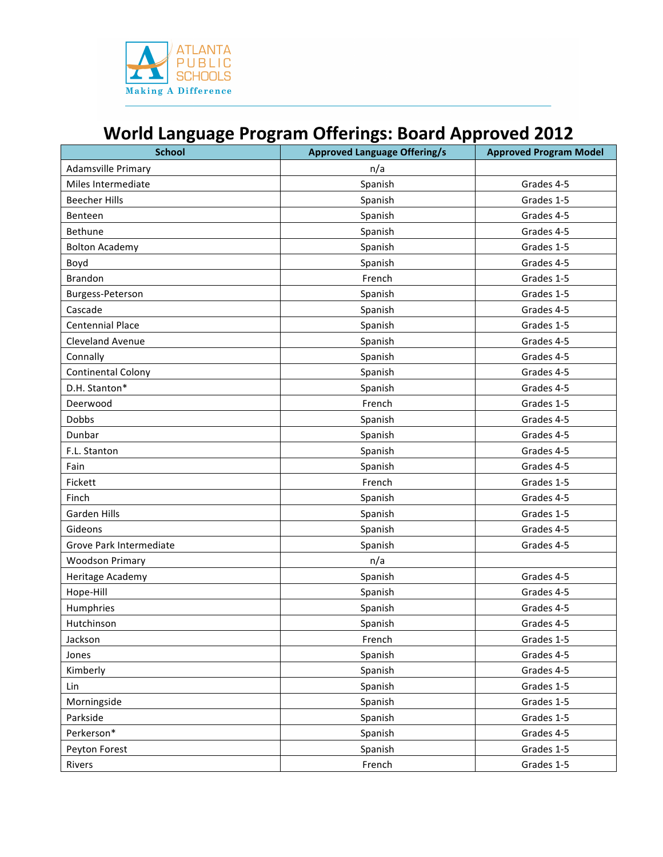

## **World Language Program Offerings: Board Approved 2012**

| <b>School</b>             | <b>Approved Language Offering/s</b> | <b>Approved Program Model</b> |
|---------------------------|-------------------------------------|-------------------------------|
| Adamsville Primary        | n/a                                 |                               |
| Miles Intermediate        | Spanish                             | Grades 4-5                    |
| <b>Beecher Hills</b>      | Spanish                             | Grades 1-5                    |
| Benteen                   | Spanish                             | Grades 4-5                    |
| Bethune                   | Spanish                             | Grades 4-5                    |
| <b>Bolton Academy</b>     | Spanish                             | Grades 1-5                    |
| Boyd                      | Spanish                             | Grades 4-5                    |
| <b>Brandon</b>            | French                              | Grades 1-5                    |
| Burgess-Peterson          | Spanish                             | Grades 1-5                    |
| Cascade                   | Spanish                             | Grades 4-5                    |
| <b>Centennial Place</b>   | Spanish                             | Grades 1-5                    |
| <b>Cleveland Avenue</b>   | Spanish                             | Grades 4-5                    |
| Connally                  | Spanish                             | Grades 4-5                    |
| <b>Continental Colony</b> | Spanish                             | Grades 4-5                    |
| D.H. Stanton*             | Spanish                             | Grades 4-5                    |
| Deerwood                  | French                              | Grades 1-5                    |
| <b>Dobbs</b>              | Spanish                             | Grades 4-5                    |
| Dunbar                    | Spanish                             | Grades 4-5                    |
| F.L. Stanton              | Spanish                             | Grades 4-5                    |
| Fain                      | Spanish                             | Grades 4-5                    |
| Fickett                   | French                              | Grades 1-5                    |
| Finch                     | Spanish                             | Grades 4-5                    |
| <b>Garden Hills</b>       | Spanish                             | Grades 1-5                    |
| Gideons                   | Spanish                             | Grades 4-5                    |
| Grove Park Intermediate   | Spanish                             | Grades 4-5                    |
| <b>Woodson Primary</b>    | n/a                                 |                               |
| Heritage Academy          | Spanish                             | Grades 4-5                    |
| Hope-Hill                 | Spanish                             | Grades 4-5                    |
| Humphries                 | Spanish                             | Grades 4-5                    |
| Hutchinson                | Spanish                             | Grades 4-5                    |
| Jackson                   | French                              | Grades 1-5                    |
| Jones                     | Spanish                             | Grades 4-5                    |
| Kimberly                  | Spanish                             | Grades 4-5                    |
| Lin                       | Spanish                             | Grades 1-5                    |
| Morningside               | Spanish                             | Grades 1-5                    |
| Parkside                  | Spanish                             | Grades 1-5                    |
| Perkerson*                | Spanish                             | Grades 4-5                    |
| Peyton Forest             | Spanish                             | Grades 1-5                    |
| Rivers                    | French                              | Grades 1-5                    |